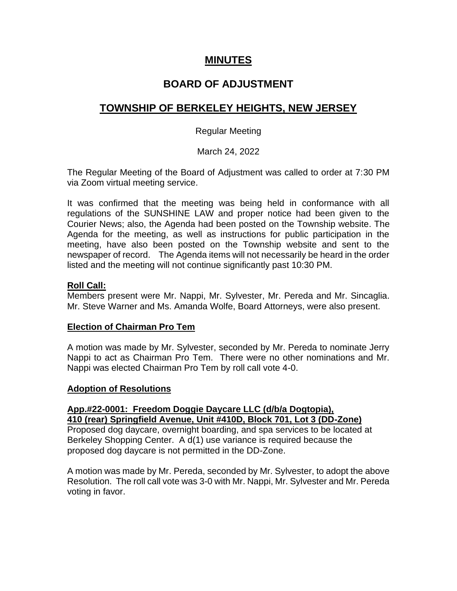# **MINUTES**

# **BOARD OF ADJUSTMENT**

# **TOWNSHIP OF BERKELEY HEIGHTS, NEW JERSEY**

## Regular Meeting

March 24, 2022

The Regular Meeting of the Board of Adjustment was called to order at 7:30 PM via Zoom virtual meeting service.

It was confirmed that the meeting was being held in conformance with all regulations of the SUNSHINE LAW and proper notice had been given to the Courier News; also, the Agenda had been posted on the Township website. The Agenda for the meeting, as well as instructions for public participation in the meeting, have also been posted on the Township website and sent to the newspaper of record. The Agenda items will not necessarily be heard in the order listed and the meeting will not continue significantly past 10:30 PM.

### **Roll Call:**

Members present were Mr. Nappi, Mr. Sylvester, Mr. Pereda and Mr. Sincaglia. Mr. Steve Warner and Ms. Amanda Wolfe, Board Attorneys, were also present.

### **Election of Chairman Pro Tem**

A motion was made by Mr. Sylvester, seconded by Mr. Pereda to nominate Jerry Nappi to act as Chairman Pro Tem. There were no other nominations and Mr. Nappi was elected Chairman Pro Tem by roll call vote 4-0.

### **Adoption of Resolutions**

**App.#22-0001: Freedom Doggie Daycare LLC (d/b/a Dogtopia), 410 (rear) Springfield Avenue, Unit #410D, Block 701, Lot 3 (DD-Zone)** Proposed dog daycare, overnight boarding, and spa services to be located at Berkeley Shopping Center. A d(1) use variance is required because the

proposed dog daycare is not permitted in the DD-Zone.

A motion was made by Mr. Pereda, seconded by Mr. Sylvester, to adopt the above Resolution. The roll call vote was 3-0 with Mr. Nappi, Mr. Sylvester and Mr. Pereda voting in favor.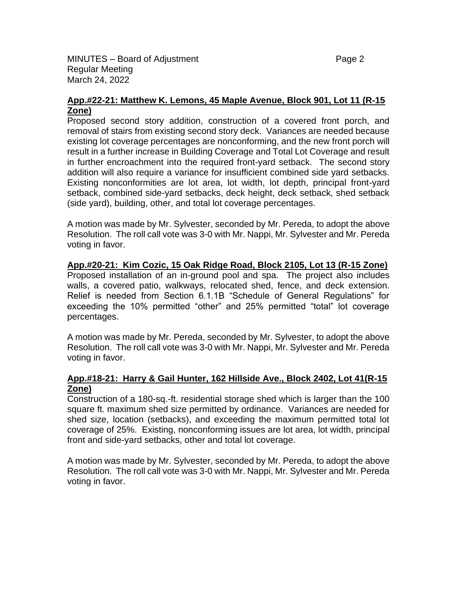MINUTES – Board of Adjustment **Page 2** and Page 2 Regular Meeting March 24, 2022

#### **App.#22-21: Matthew K. Lemons, 45 Maple Avenue, Block 901, Lot 11 (R-15 Zone)**

Proposed second story addition, construction of a covered front porch, and removal of stairs from existing second story deck. Variances are needed because existing lot coverage percentages are nonconforming, and the new front porch will result in a further increase in Building Coverage and Total Lot Coverage and result in further encroachment into the required front-yard setback. The second story addition will also require a variance for insufficient combined side yard setbacks. Existing nonconformities are lot area, lot width, lot depth, principal front-yard setback, combined side-yard setbacks, deck height, deck setback, shed setback (side yard), building, other, and total lot coverage percentages.

A motion was made by Mr. Sylvester, seconded by Mr. Pereda, to adopt the above Resolution. The roll call vote was 3-0 with Mr. Nappi, Mr. Sylvester and Mr. Pereda voting in favor.

# **App.#20-21: Kim Cozic, 15 Oak Ridge Road, Block 2105, Lot 13 (R-15 Zone)**

Proposed installation of an in-ground pool and spa. The project also includes walls, a covered patio, walkways, relocated shed, fence, and deck extension. Relief is needed from Section 6.1.1B "Schedule of General Regulations" for exceeding the 10% permitted "other" and 25% permitted "total" lot coverage percentages.

A motion was made by Mr. Pereda, seconded by Mr. Sylvester, to adopt the above Resolution. The roll call vote was 3-0 with Mr. Nappi, Mr. Sylvester and Mr. Pereda voting in favor.

### **App.#18-21: Harry & Gail Hunter, 162 Hillside Ave., Block 2402, Lot 41(R-15 Zone)**

Construction of a 180-sq.-ft. residential storage shed which is larger than the 100 square ft. maximum shed size permitted by ordinance. Variances are needed for shed size, location (setbacks), and exceeding the maximum permitted total lot coverage of 25%. Existing, nonconforming issues are lot area, lot width, principal front and side-yard setbacks, other and total lot coverage.

A motion was made by Mr. Sylvester, seconded by Mr. Pereda, to adopt the above Resolution. The roll call vote was 3-0 with Mr. Nappi, Mr. Sylvester and Mr. Pereda voting in favor.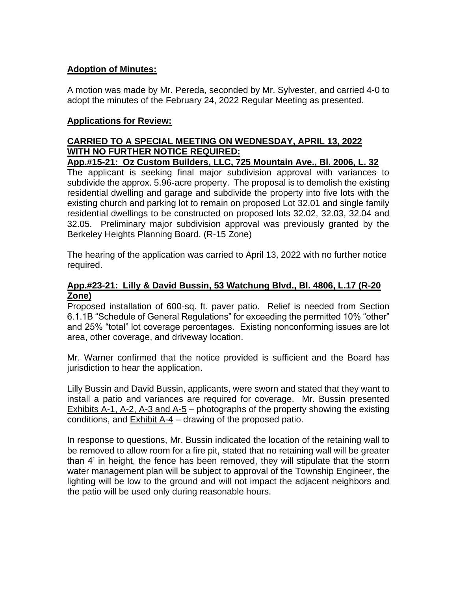## **Adoption of Minutes:**

A motion was made by Mr. Pereda, seconded by Mr. Sylvester, and carried 4-0 to adopt the minutes of the February 24, 2022 Regular Meeting as presented.

## **Applications for Review:**

# **CARRIED TO A SPECIAL MEETING ON WEDNESDAY, APRIL 13, 2022 WITH NO FURTHER NOTICE REQUIRED:**

**App.#15-21: Oz Custom Builders, LLC, 725 Mountain Ave., Bl. 2006, L. 32**  The applicant is seeking final major subdivision approval with variances to subdivide the approx. 5.96-acre property. The proposal is to demolish the existing residential dwelling and garage and subdivide the property into five lots with the existing church and parking lot to remain on proposed Lot 32.01 and single family residential dwellings to be constructed on proposed lots 32.02, 32.03, 32.04 and 32.05. Preliminary major subdivision approval was previously granted by the Berkeley Heights Planning Board. (R-15 Zone)

The hearing of the application was carried to April 13, 2022 with no further notice required.

## **App.#23-21: Lilly & David Bussin, 53 Watchung Blvd., Bl. 4806, L.17 (R-20 Zone)**

Proposed installation of 600-sq. ft. paver patio. Relief is needed from Section 6.1.1B "Schedule of General Regulations" for exceeding the permitted 10% "other" and 25% "total" lot coverage percentages. Existing nonconforming issues are lot area, other coverage, and driveway location.

Mr. Warner confirmed that the notice provided is sufficient and the Board has jurisdiction to hear the application.

Lilly Bussin and David Bussin, applicants, were sworn and stated that they want to install a patio and variances are required for coverage. Mr. Bussin presented Exhibits A-1, A-2, A-3 and A-5 – photographs of the property showing the existing conditions, and Exhibit A-4 – drawing of the proposed patio.

In response to questions, Mr. Bussin indicated the location of the retaining wall to be removed to allow room for a fire pit, stated that no retaining wall will be greater than 4' in height, the fence has been removed, they will stipulate that the storm water management plan will be subject to approval of the Township Engineer, the lighting will be low to the ground and will not impact the adjacent neighbors and the patio will be used only during reasonable hours.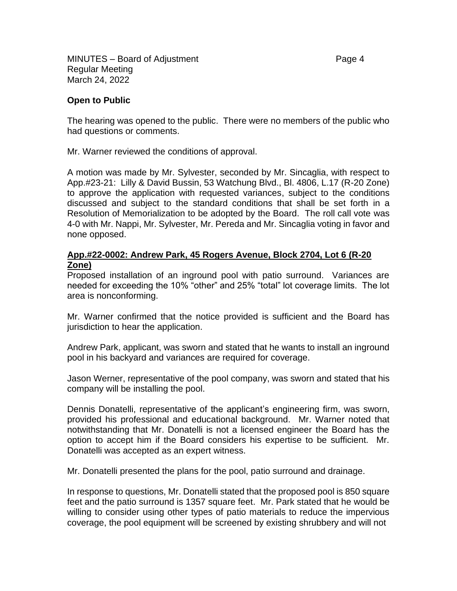MINUTES – Board of Adjustment **Page 4** Regular Meeting March 24, 2022

### **Open to Public**

The hearing was opened to the public. There were no members of the public who had questions or comments.

Mr. Warner reviewed the conditions of approval.

A motion was made by Mr. Sylvester, seconded by Mr. Sincaglia, with respect to App.#23-21: Lilly & David Bussin, 53 Watchung Blvd., Bl. 4806, L.17 (R-20 Zone) to approve the application with requested variances, subject to the conditions discussed and subject to the standard conditions that shall be set forth in a Resolution of Memorialization to be adopted by the Board. The roll call vote was 4-0 with Mr. Nappi, Mr. Sylvester, Mr. Pereda and Mr. Sincaglia voting in favor and none opposed.

### **App.#22-0002: Andrew Park, 45 Rogers Avenue, Block 2704, Lot 6 (R-20 Zone)**

Proposed installation of an inground pool with patio surround. Variances are needed for exceeding the 10% "other" and 25% "total" lot coverage limits. The lot area is nonconforming.

Mr. Warner confirmed that the notice provided is sufficient and the Board has jurisdiction to hear the application.

Andrew Park, applicant, was sworn and stated that he wants to install an inground pool in his backyard and variances are required for coverage.

Jason Werner, representative of the pool company, was sworn and stated that his company will be installing the pool.

Dennis Donatelli, representative of the applicant's engineering firm, was sworn, provided his professional and educational background. Mr. Warner noted that notwithstanding that Mr. Donatelli is not a licensed engineer the Board has the option to accept him if the Board considers his expertise to be sufficient. Mr. Donatelli was accepted as an expert witness.

Mr. Donatelli presented the plans for the pool, patio surround and drainage.

In response to questions, Mr. Donatelli stated that the proposed pool is 850 square feet and the patio surround is 1357 square feet. Mr. Park stated that he would be willing to consider using other types of patio materials to reduce the impervious coverage, the pool equipment will be screened by existing shrubbery and will not